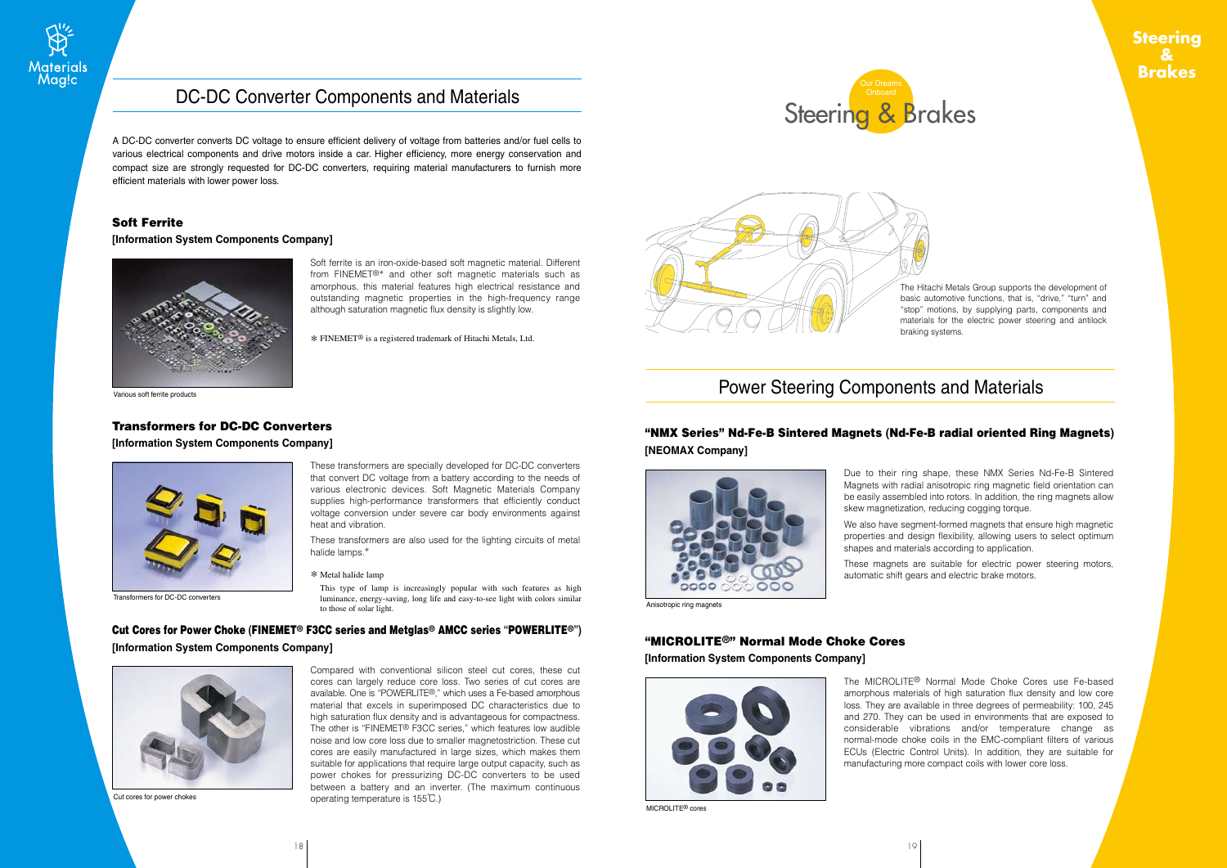### **Steering & Brakes**





The Hitachi Metals Group supports the development of basic automotive functions, that is, "drive," "turn" and "stop" motions, by supplying parts, components and materials for the electric power steering and antilock braking systems.

# Power Steering Components and Materials

## "NMX Series" Nd-Fe-B Sintered Magnets **(**Nd-Fe-B radial oriented Ring Magnets**)**

**[NEOMAX Company]**



Due to their ring shape, these NMX Series Nd-Fe-B Sintered Magnets with radial anisotropic ring magnetic field orientation can be easily assembled into rotors. In addition, the ring magnets allow skew magnetization, reducing cogging torque.

We also have segment-formed magnets that ensure high magnetic properties and design flexibility, allowing users to select optimum shapes and materials according to application.

These magnets are suitable for electric power steering motors, automatic shift gears and electric brake motors.

Anisotropic ring magnets

### "MICROLITE®" Normal Mode Choke Cores

#### **[Information System Components Company]**



MICROLITE® cores

The MICROLITE® Normal Mode Choke Cores use Fe-based amorphous materials of high saturation flux density and low core loss. They are available in three degrees of permeability: 100, 245 and 270. They can be used in environments that are exposed to considerable vibrations and/or temperature change as normal-mode choke coils in the EMC-compliant filters of various ECUs (Electric Control Units). In addition, they are suitable for manufacturing more compact coils with lower core loss.